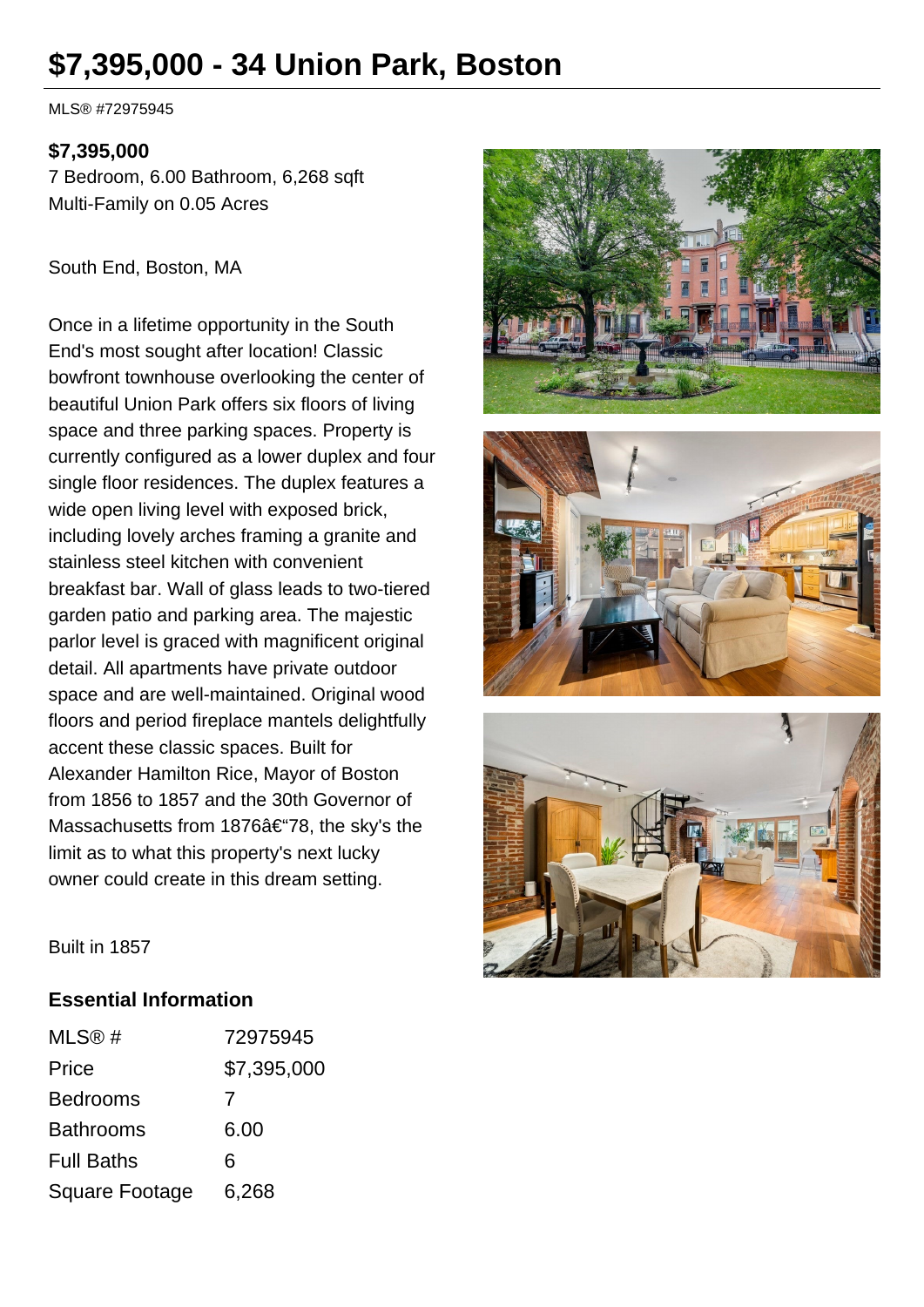# **\$7,395,000 - 34 Union Park, Boston**

MLS® #72975945

#### **\$7,395,000**

7 Bedroom, 6.00 Bathroom, 6,268 sqft Multi-Family on 0.05 Acres

South End, Boston, MA

Once in a lifetime opportunity in the South End's most sought after location! Classic bowfront townhouse overlooking the center of beautiful Union Park offers six floors of living space and three parking spaces. Property is currently configured as a lower duplex and four single floor residences. The duplex features a wide open living level with exposed brick, including lovely arches framing a granite and stainless steel kitchen with convenient breakfast bar. Wall of glass leads to two-tiered garden patio and parking area. The majestic parlor level is graced with magnificent original detail. All apartments have private outdoor space and are well-maintained. Original wood floors and period fireplace mantels delightfully accent these classic spaces. Built for Alexander Hamilton Rice, Mayor of Boston from 1856 to 1857 and the 30th Governor of Massachusetts from 1876–78, the sky's the limit as to what this property's next lucky owner could create in this dream setting.







Built in 1857

#### **Essential Information**

| MLS@#             | 72975945    |
|-------------------|-------------|
| Price             | \$7,395,000 |
| <b>Bedrooms</b>   | 7           |
| <b>Bathrooms</b>  | 6.00        |
| <b>Full Baths</b> | 6           |
| Square Footage    | 6,268       |